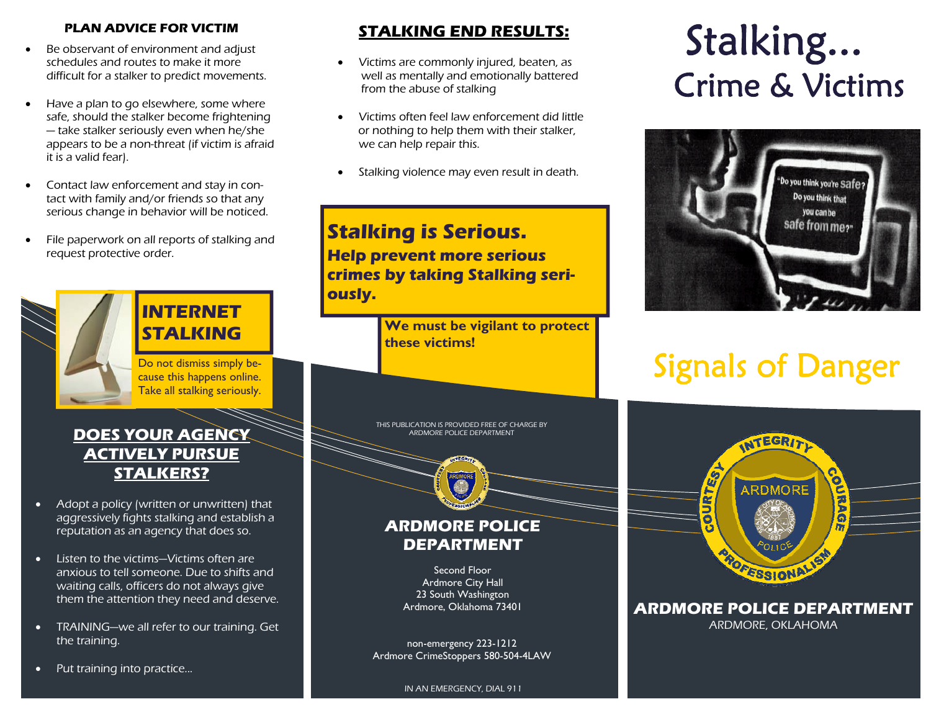#### **PLAN ADVICE FOR VICTIM**

- $\bullet$  Be observant of environment and adjust schedules and routes to make it more difficult for a stalker to predict movements.
- $\bullet$  Have a plan to go elsewhere, some where safe, should the stalker become frightening — take stalker seriously even when he/she appears to be a non-threat (if victim is afraid it is a valid fear).
- $\bullet$  Contact law enforcement and stay in contact with family and/or friends so that any serious change in behavior will be noticed.
- $\bullet$  File paperwork on all reports of stalking and request protective order.

# **STALKING**

**INTERNET** 

Take all stalking seriously.

#### **DOES YOUR AGENCY ACTIVELY PURSUE STALKERS?**

- $\bullet$  Adopt a policy (written or unwritten) that aggressively fights stalking and establish a reputation as an agency that does so.
- $\bullet$  Listen to the victims—Victims often are anxious to tell someone. Due to shifts and waiting calls, officers do not always give them the attention they need and deserve.
- $\bullet$  TRAINING—we all refer to our training. Get the training.

#### $\bullet$ Put training into practice...

#### **STALKING END RESULTS:**

- $\bullet$  Victims are commonly injured, beaten, as well as mentally and emotionally battered from the abuse of stalking
- $\bullet$  Victims often feel law enforcement did little or nothing to help them with their stalker, we can help repair this.
- $\bullet$ Stalking violence may even result in death.

### **Stalking is Serious. Help prevent more serious crimes by taking Stalking seriously.**

**We must be vigilant to protect these victims!** 

THIS PUBLICATION IS PROVIDED FREE OF CHARGE BY ARDMORE POLICE DEPARTMENT

#### **ARDMORE POLICE DEPARTMENT**

Second Floor Ardmore City Hall 23 South Washington Ardmore, Oklahoma 73401

non-emergency 223-1212 Ardmore CrimeStoppers 580-504-4LAW

# Stalking... Crime & Victims



## Do not dismiss simply be- cause this happens online.



**ARDMORE POLICE DEPARTMENT** ARDMORE, OKLAHOMA

IN AN EMERGENCY, DIAL 911